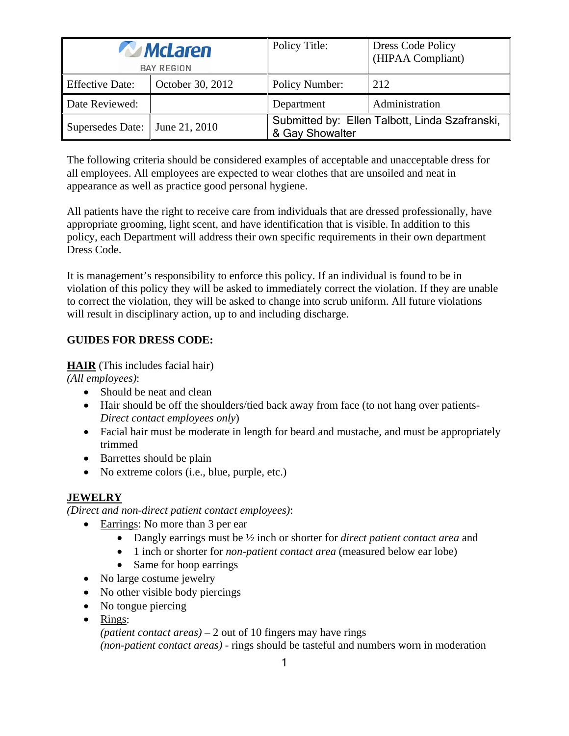| <i>McLaren</i><br><b>BAY REGION</b> |                  | Policy Title:                                                     | <b>Dress Code Policy</b><br>(HIPAA Compliant) |
|-------------------------------------|------------------|-------------------------------------------------------------------|-----------------------------------------------|
| <b>Effective Date:</b>              | October 30, 2012 | Policy Number:                                                    | 212                                           |
| Date Reviewed:                      |                  | Department                                                        | Administration                                |
| Supersedes Date: June 21, 2010      |                  | Submitted by: Ellen Talbott, Linda Szafranski,<br>& Gay Showalter |                                               |

The following criteria should be considered examples of acceptable and unacceptable dress for all employees. All employees are expected to wear clothes that are unsoiled and neat in appearance as well as practice good personal hygiene.

All patients have the right to receive care from individuals that are dressed professionally, have appropriate grooming, light scent, and have identification that is visible. In addition to this policy, each Department will address their own specific requirements in their own department Dress Code.

It is management's responsibility to enforce this policy. If an individual is found to be in violation of this policy they will be asked to immediately correct the violation. If they are unable to correct the violation, they will be asked to change into scrub uniform. All future violations will result in disciplinary action, up to and including discharge.

## **GUIDES FOR DRESS CODE:**

**HAIR** (This includes facial hair)

*(All employees)*:

- Should be neat and clean
- Hair should be off the shoulders/tied back away from face (to not hang over patients-*Direct contact employees only*)
- Facial hair must be moderate in length for beard and mustache, and must be appropriately trimmed
- Barrettes should be plain
- No extreme colors (i.e., blue, purple, etc.)

# **JEWELRY**

*(Direct and non-direct patient contact employees)*:

- Earrings: No more than 3 per ear
	- Dangly earrings must be ½ inch or shorter for *direct patient contact area* and
	- 1 inch or shorter for *non-patient contact area* (measured below ear lobe)
	- Same for hoop earrings
- No large costume jewelry
- No other visible body piercings
- No tongue piercing
- Rings:

*(patient contact areas)* – 2 out of 10 fingers may have rings *(non-patient contact areas)* - rings should be tasteful and numbers worn in moderation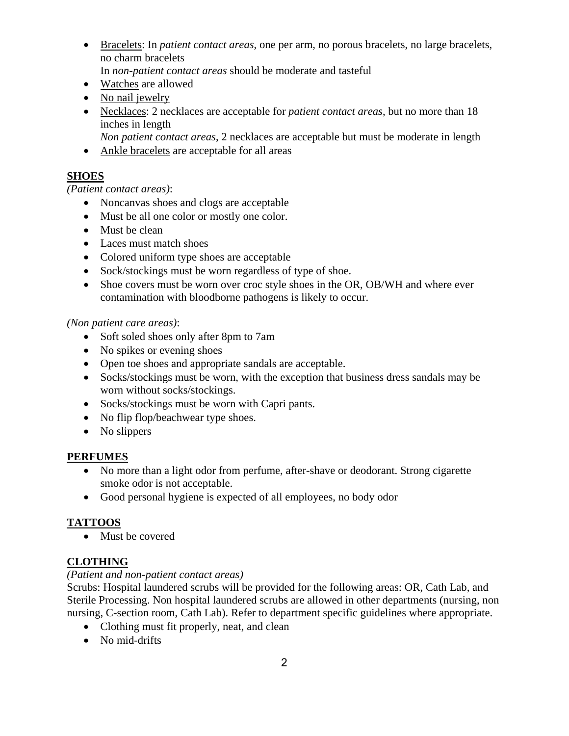• Bracelets: In *patient contact areas*, one per arm, no porous bracelets, no large bracelets, no charm bracelets

In *non-patient contact areas* should be moderate and tasteful

- Watches are allowed
- No nail jewelry
- Necklaces: 2 necklaces are acceptable for *patient contact areas*, but no more than 18 inches in length
	- *Non patient contact areas*, 2 necklaces are acceptable but must be moderate in length
- Ankle bracelets are acceptable for all areas

## **SHOES**

#### *(Patient contact areas)*:

- Noncanvas shoes and clogs are acceptable
- Must be all one color or mostly one color.
- Must be clean
- Laces must match shoes
- Colored uniform type shoes are acceptable
- Sock/stockings must be worn regardless of type of shoe.
- Shoe covers must be worn over croc style shoes in the OR, OB/WH and where ever contamination with bloodborne pathogens is likely to occur.

#### *(Non patient care areas)*:

- Soft soled shoes only after 8pm to 7am
- No spikes or evening shoes
- Open toe shoes and appropriate sandals are acceptable.
- Socks/stockings must be worn, with the exception that business dress sandals may be worn without socks/stockings.
- Socks/stockings must be worn with Capri pants.
- No flip flop/beachwear type shoes.
- No slippers

#### **PERFUMES**

- No more than a light odor from perfume, after-shave or deodorant. Strong cigarette smoke odor is not acceptable.
- Good personal hygiene is expected of all employees, no body odor

## **TATTOOS**

• Must be covered

## **CLOTHING**

#### *(Patient and non-patient contact areas)*

Scrubs: Hospital laundered scrubs will be provided for the following areas: OR, Cath Lab, and Sterile Processing. Non hospital laundered scrubs are allowed in other departments (nursing, non nursing, C-section room, Cath Lab). Refer to department specific guidelines where appropriate.

- Clothing must fit properly, neat, and clean
- No mid-drifts